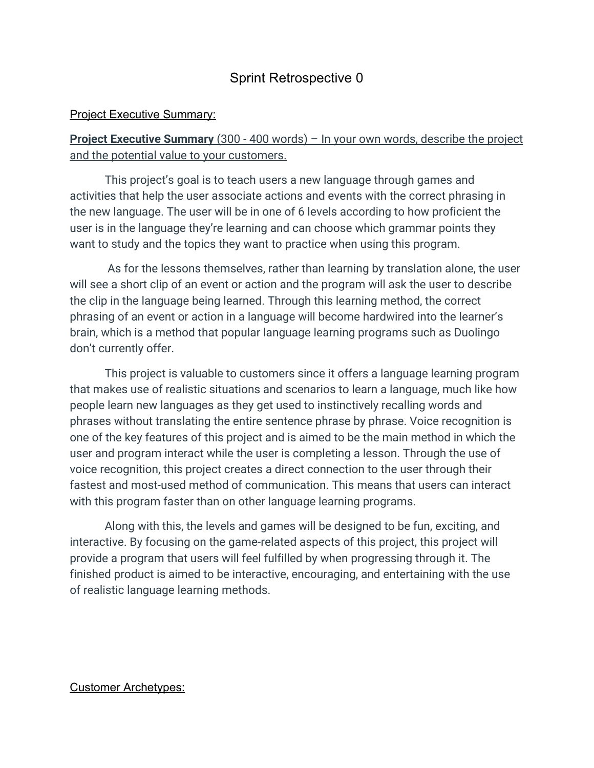# Sprint Retrospective 0

#### **Project Executive Summary:**

# **Project Executive Summary** (300 - 400 words) – In your own words, describe the project and the potential value to your customers.

This project's goal is to teach users a new language through games and activities that help the user associate actions and events with the correct phrasing in the new language. The user will be in one of 6 levels according to how proficient the user is in the language they're learning and can choose which grammar points they want to study and the topics they want to practice when using this program.

 As for the lessons themselves, rather than learning by translation alone, the user will see a short clip of an event or action and the program will ask the user to describe the clip in the language being learned. Through this learning method, the correct phrasing of an event or action in a language will become hardwired into the learner's brain, which is a method that popular language learning programs such as Duolingo don't currently offer.

This project is valuable to customers since it offers a language learning program that makes use of realistic situations and scenarios to learn a language, much like how people learn new languages as they get used to instinctively recalling words and phrases without translating the entire sentence phrase by phrase. Voice recognition is one of the key features of this project and is aimed to be the main method in which the user and program interact while the user is completing a lesson. Through the use of voice recognition, this project creates a direct connection to the user through their fastest and most-used method of communication. This means that users can interact with this program faster than on other language learning programs.

Along with this, the levels and games will be designed to be fun, exciting, and interactive. By focusing on the game-related aspects of this project, this project will provide a program that users will feel fulfilled by when progressing through it. The finished product is aimed to be interactive, encouraging, and entertaining with the use of realistic language learning methods.

#### Customer Archetypes: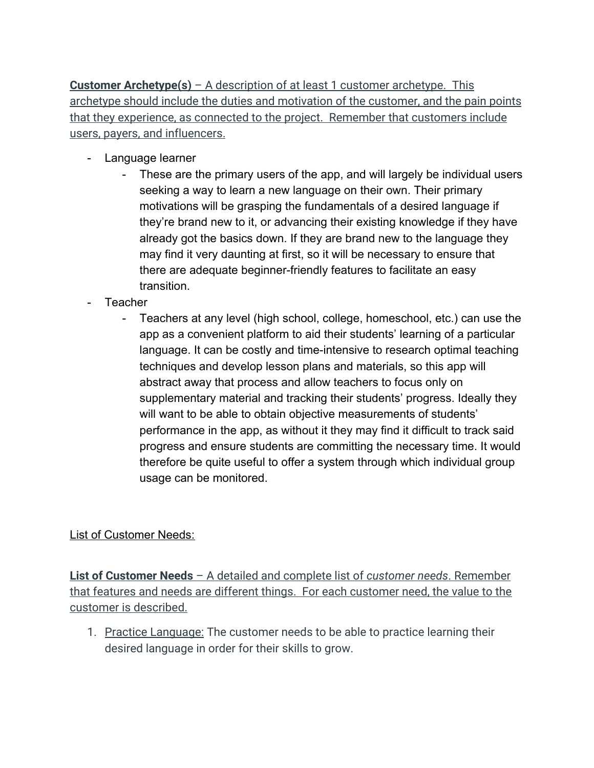**Customer Archetype(s)** – A description of at least 1 customer archetype. This archetype should include the duties and motivation of the customer, and the pain points that they experience, as connected to the project. Remember that customers include users, payers, and influencers.

- Language learner
	- These are the primary users of the app, and will largely be individual users seeking a way to learn a new language on their own. Their primary motivations will be grasping the fundamentals of a desired language if they're brand new to it, or advancing their existing knowledge if they have already got the basics down. If they are brand new to the language they may find it very daunting at first, so it will be necessary to ensure that there are adequate beginner-friendly features to facilitate an easy transition.
- **Teacher** 
	- Teachers at any level (high school, college, homeschool, etc.) can use the app as a convenient platform to aid their students' learning of a particular language. It can be costly and time-intensive to research optimal teaching techniques and develop lesson plans and materials, so this app will abstract away that process and allow teachers to focus only on supplementary material and tracking their students' progress. Ideally they will want to be able to obtain objective measurements of students' performance in the app, as without it they may find it difficult to track said progress and ensure students are committing the necessary time. It would therefore be quite useful to offer a system through which individual group usage can be monitored.

List of Customer Needs:

**List of Customer Needs** – A detailed and complete list of *customer needs*. Remember that features and needs are different things. For each customer need, the value to the customer is described.

1. Practice Language: The customer needs to be able to practice learning their desired language in order for their skills to grow.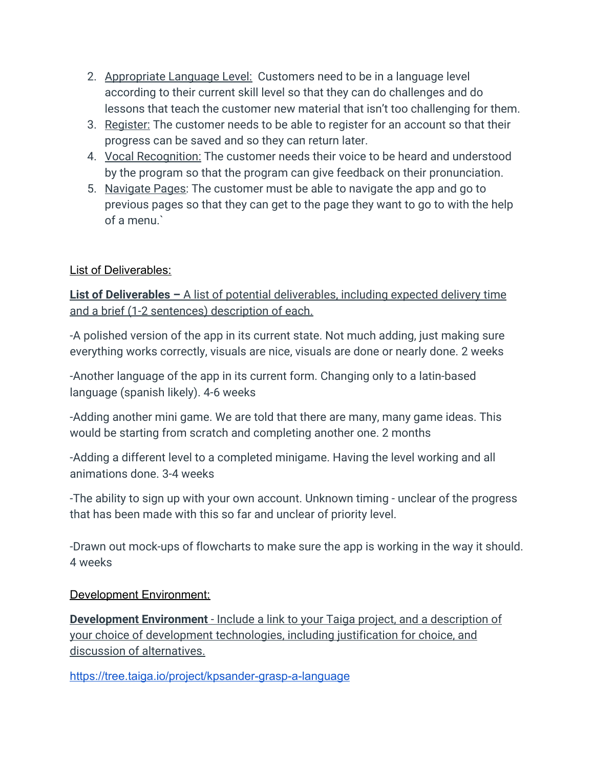- 2. Appropriate Language Level: Customers need to be in a language level according to their current skill level so that they can do challenges and do lessons that teach the customer new material that isn't too challenging for them.
- 3. Register: The customer needs to be able to register for an account so that their progress can be saved and so they can return later.
- 4. Vocal Recognition: The customer needs their voice to be heard and understood by the program so that the program can give feedback on their pronunciation.
- 5. Navigate Pages: The customer must be able to navigate the app and go to previous pages so that they can get to the page they want to go to with the help of a menu.`

# List of Deliverables:

**List of Deliverables –** A list of potential deliverables, including expected delivery time and a brief (1-2 sentences) description of each.

-A polished version of the app in its current state. Not much adding, just making sure everything works correctly, visuals are nice, visuals are done or nearly done. 2 weeks

-Another language of the app in its current form. Changing only to a latin-based language (spanish likely). 4-6 weeks

-Adding another mini game. We are told that there are many, many game ideas. This would be starting from scratch and completing another one. 2 months

-Adding a different level to a completed minigame. Having the level working and all animations done. 3-4 weeks

-The ability to sign up with your own account. Unknown timing - unclear of the progress that has been made with this so far and unclear of priority level.

-Drawn out mock-ups of flowcharts to make sure the app is working in the way it should. 4 weeks

## Development Environment:

**Development Environment** - Include a link to your Taiga project, and a description of your choice of development technologies, including justification for choice, and discussion of alternatives.

<https://tree.taiga.io/project/kpsander-grasp-a-language>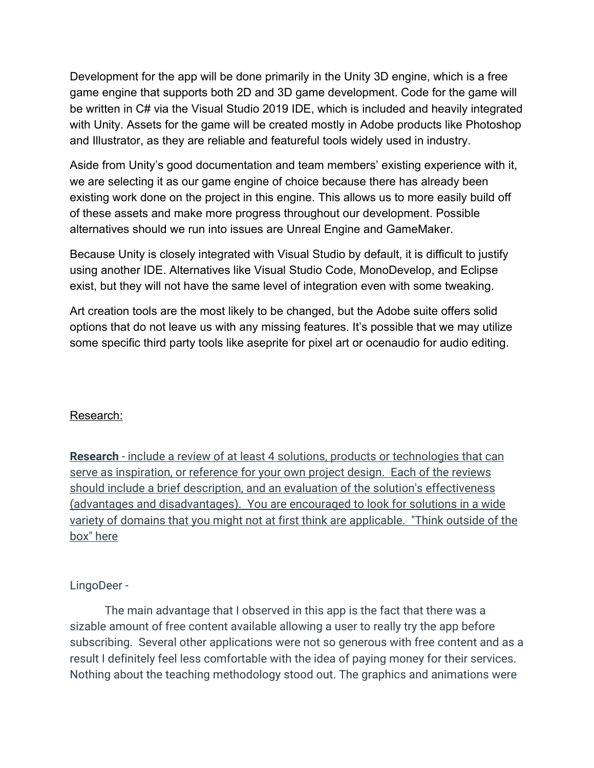Development for the app will be done primarily in the Unity 3D engine, which is a free game engine that supports both 2D and 3D game development. Code for the game will be written in C# via the Visual Studio 2019 IDE, which is included and heavily integrated with Unity. Assets for the game will be created mostly in Adobe products like Photoshop and Illustrator, as they are reliable and featureful tools widely used in industry.

Aside from Unity's good documentation and team members' existing experience with it, we are selecting it as our game engine of choice because there has already been existing work done on the project in this engine. This allows us to more easily build off of these assets and make more progress throughout our development. Possible alternatives should we run into issues are Unreal Engine and GameMaker.

Because Unity is closely integrated with Visual Studio by default, it is difficult to justify using another IDE. Alternatives like Visual Studio Code, MonoDevelop, and Eclipse exist, but they will not have the same level of integration even with some tweaking.

Art creation tools are the most likely to be changed, but the Adobe suite offers solid options that do not leave us with any missing features. It's possible that we may utilize some specific third party tools like aseprite for pixel art or ocenaudio for audio editing.

## Research:

**Research** - include a review of at least 4 solutions, products or technologies that can serve as inspiration, or reference for your own project design. Each of the reviews should include a brief description, and an evaluation of the solution's effectiveness (advantages and disadvantages). You are encouraged to look for solutions in a wide variety of domains that you might not at first think are applicable. "Think outside of the box" here

## LingoDeer -

The main advantage that I observed in this app is the fact that there was a sizable amount of free content available allowing a user to really try the app before subscribing. Several other applications were not so generous with free content and as a result I definitely feel less comfortable with the idea of paying money for their services. Nothing about the teaching methodology stood out. The graphics and animations were